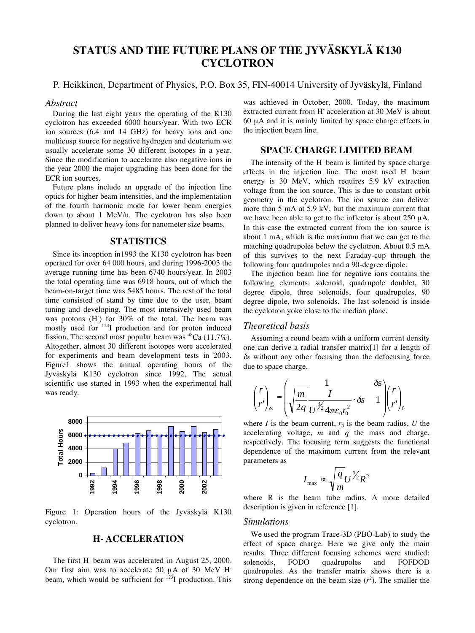# **STATUS AND THE FUTURE PLANS OF THE JYVÄSKYLÄ K130 CYCLOTRON**

## P. Heikkinen, Department of Physics, P.O. Box 35, FIN-40014 University of Jyväskylä, Finland

#### *Abstract*

During the last eight years the operating of the K130 cyclotron has exceeded 6000 hours/year. With two ECR ion sources (6.4 and 14 GHz) for heavy ions and one multicusp source for negative hydrogen and deuterium we usually accelerate some 30 different isotopes in a year. Since the modification to accelerate also negative ions in the year 2000 the major upgrading has been done for the ECR ion sources.

Future plans include an upgrade of the injection line optics for higher beam intensities, and the implementation of the fourth harmonic mode for lower beam energies down to about 1 MeV/u. The cyclotron has also been planned to deliver heavy ions for nanometer size beams.

## **STATISTICS**

Since its inception in1993 the K130 cyclotron has been operated for over 64 000 hours, and during 1996-2003 the average running time has been 6740 hours/year. In 2003 the total operating time was 6918 hours, out of which the beam-on-target time was 5485 hours. The rest of the total time consisted of stand by time due to the user, beam tuning and developing. The most intensively used beam was protons  $(H)$  for 30% of the total. The beam was mostly used for 123I production and for proton induced fission. The second most popular beam was  $^{48}Ca$  (11.7%). Altogether, almost 30 different isotopes were accelerated for experiments and beam development tests in 2003. Figure1 shows the annual operating hours of the Jyväskylä K130 cyclotron since 1992. The actual scientific use started in 1993 when the experimental hall was ready.



Figure 1: Operation hours of the Jyväskylä K130 cyclotron.

## **H- ACCELERATION**

The first H<sup>-</sup> beam was accelerated in August 25, 2000. Our first aim was to accelerate 50 µA of 30 MeV Hbeam, which would be sufficient for 123I production. This

was achieved in October, 2000. Today, the maximum extracted current from H acceleration at 30 MeV is about 60 µA and it is mainly limited by space charge effects in the injection beam line.

# **SPACE CHARGE LIMITED BEAM**

The intensity of the H<sup>-</sup> beam is limited by space charge effects in the injection line. The most used H- beam energy is 30 MeV, which requires 5.9 kV extraction voltage from the ion source. This is due to constant orbit geometry in the cyclotron. The ion source can deliver more than 5 mA at 5.9 kV, but the maximum current that we have been able to get to the inflector is about 250 µA. In this case the extracted current from the ion source is about 1 mA, which is the maximum that we can get to the matching quadrupoles below the cyclotron. About 0.5 mA of this survives to the next Faraday-cup through the following four quadrupoles and a 90-degree dipole.

The injection beam line for negative ions contains the following elements: solenoid, quadrupole doublet, 30 degree dipole, three solenoids, four quadrupoles, 90 degree dipole, two solenoids. The last solenoid is inside the cyclotron yoke close to the median plane.

# *Theoretical basis*

Assuming a round beam with a uniform current density one can derive a radial transfer matrix[1] for a length of  $\delta s$  without any other focusing than the defocusing force due to space charge.

$$
\binom{r}{r}_{\delta s} = \left(\sqrt{\frac{m}{2q}} \frac{1}{U^{\frac{3}{2}} 4\pi \varepsilon_0 r_0^2} \cdot \delta s \frac{\delta s}{1} \right) \binom{r}{r}_{0}
$$

where *I* is the beam current,  $r_0$  is the beam radius, *U* the accelerating voltage, *m* and *q* the mass and charge, respectively. The focusing term suggests the functional dependence of the maximum current from the relevant parameters as

$$
I_{\max} \propto \sqrt{\frac{q}{m}} U^{\frac{3}{2}} R^2
$$

where R is the beam tube radius. A more detailed description is given in reference [1].

#### *Simulations*

We used the program Trace-3D (PBO-Lab) to study the effect of space charge. Here we give only the main results. Three different focusing schemes were studied: solenoids, FODO quadrupoles and FOFDOD quadrupoles. As the transfer matrix shows there is a strong dependence on the beam size  $(r^2)$ . The smaller the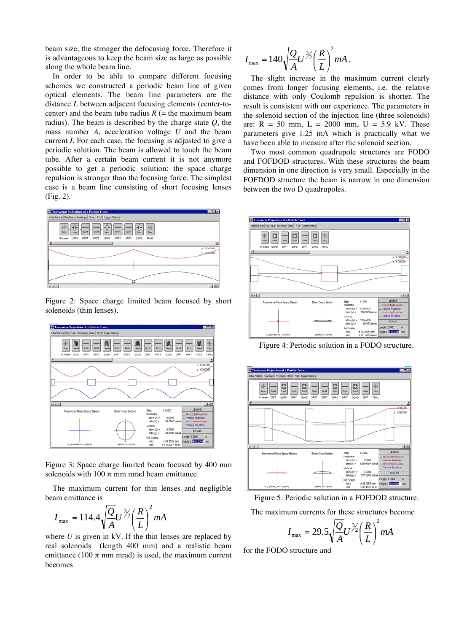beam size, the stronger the defocusing force. Therefore it is advantageous to keep the beam size as large as possible along the whole beam line.

In order to be able to compare different focusing schemes we constructed a periodic beam line of given optical elements. The beam line parameters are the distance *L* between adjacent focusing elements (center-tocenter) and the beam tube radius  $R$  (= the maximum beam radius). The beam is described by the charge state *Q*, the mass number *A*, acceleration voltage *U* and the beam current *I*. For each case, the focusing is adjusted to give a periodic solution. The beam is allowed to touch the beam tube. After a certain beam current it is not anymore possible to get a periodic solution: the space charge repulsion is stronger than the focusing force. The simplest case is a beam line consisting of short focusing lenses (Fig. 2).



Figure 2: Space charge limited beam focused by short solenoids (thin lenses).



Figure 3: Space charge limited beam focused by 400 mm solenoids with  $100 \pi$  mm mrad beam emittance.

The maximum current for thin lenses and negligible beam emittance is

$$
I_{\text{max}} = 114.4 \sqrt{\frac{Q}{A}} U^{\frac{3}{2}} \left(\frac{R}{L}\right)^2 mA
$$

where *U* is given in kV. If the thin lenses are replaced by real solenoids (length 400 mm) and a realistic beam emittance (100  $\pi$  mm mrad) is used, the maximum current becomes

$$
I_{\text{max}} = 140 \sqrt{\frac{Q}{A}} U^{\frac{3}{2}} \left(\frac{R}{L}\right)^2 mA.
$$

The slight increase in the maximum current clearly comes from longer focusing elements, i.e. the relative distance with only Coulomb repulsion is shorter. The result is consistent with our experience. The parameters in the solenoid section of the injection line (three solenoids) are:  $R = 50$  mm,  $L = 2000$  mm,  $U = 5.9$  kV. These parameters give 1.25 mA which is practically what we have been able to measure after the solenoid section.

Two most common quadrupole structures are FODO and FOFDOD structures. With these structures the beam dimension in one direction is very small. Especially in the FOFDOD structure the beam is narrow in one dimension between the two D quadrupoles.



Figure 4: Periodic solution in a FODO structure.



Figure 5: Periodic solution in a FOFDOD structure.

The maximum currents for these structures become

$$
I_{\text{max}} = 29.5 \sqrt{\frac{Q}{A}} U^{\frac{3}{2}} \left(\frac{R}{L}\right)^2 mA
$$

for the FODO structure and